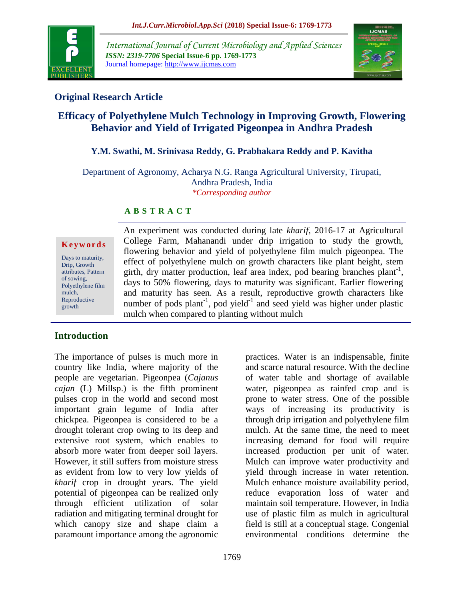

*International Journal of Current Microbiology and Applied Sciences ISSN: 2319-7706* **Special Issue-6 pp. 1769-1773** Journal homepage: http://www.ijcmas.com



# **Original Research Article**

# **Efficacy of Polyethylene Mulch Technology in Improving Growth, Flowering Behavior and Yield of Irrigated Pigeonpea in Andhra Pradesh**

### **Y.M. Swathi, M. Srinivasa Reddy, G. Prabhakara Reddy and P. Kavitha**

Department of Agronomy, Acharya N.G. Ranga Agricultural University, Tirupati, Andhra Pradesh, India *\*Corresponding author*

#### **A B S T R A C T**

#### **K e y w o r d s**

Days to maturity, Drip, Growth attributes, Pattern of sowing, Polyethylene film mulch, Reproductive growth

An experiment was conducted during late *kharif*, 2016-17 at Agricultural College Farm, Mahanandi under drip irrigation to study the growth, flowering behavior and yield of polyethylene film mulch pigeonpea. The effect of polyethylene mulch on growth characters like plant height, stem girth, dry matter production, leaf area index, pod bearing branches plant<sup>-1</sup>, days to 50% flowering, days to maturity was significant. Earlier flowering and maturity has seen. As a result, reproductive growth characters like number of pods plant<sup>-1</sup>, pod yield<sup>-1</sup> and seed yield was higher under plastic mulch when compared to planting without mulch

### **Introduction**

The importance of pulses is much more in country like India, where majority of the people are vegetarian. Pigeonpea (*Cajanus cajan* (L) Millsp.) is the fifth prominent pulses crop in the world and second most important grain legume of India after chickpea. Pigeonpea is considered to be a drought tolerant crop owing to its deep and extensive root system, which enables to absorb more water from deeper soil layers. However, it still suffers from moisture stress as evident from low to very low yields of *kharif* crop in drought years. The yield potential of pigeonpea can be realized only through efficient utilization of solar radiation and mitigating terminal drought for which canopy size and shape claim a paramount importance among the agronomic

practices. Water is an indispensable, finite and scarce natural resource. With the decline of water table and shortage of available water, pigeonpea as rainfed crop and is prone to water stress. One of the possible ways of increasing its productivity is through drip irrigation and polyethylene film mulch. At the same time, the need to meet increasing demand for food will require increased production per unit of water. Mulch can improve water productivity and yield through increase in water retention. Mulch enhance moisture availability period, reduce evaporation loss of water and maintain soil temperature. However, in India use of plastic film as mulch in agricultural field is still at a conceptual stage. Congenial environmental conditions determine the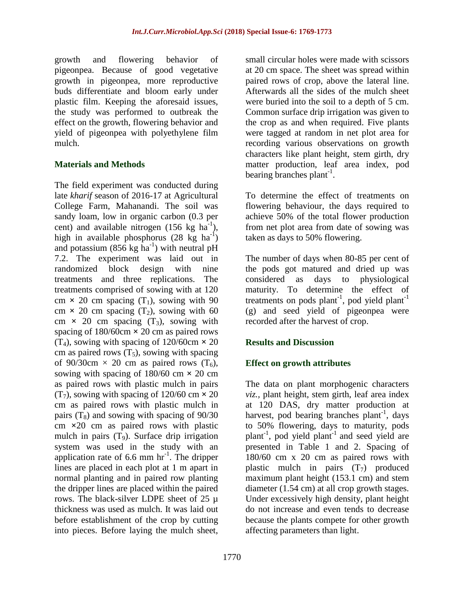growth and flowering behavior of pigeonpea. Because of good vegetative growth in pigeonpea, more reproductive buds differentiate and bloom early under plastic film. Keeping the aforesaid issues, the study was performed to outbreak the effect on the growth, flowering behavior and yield of pigeonpea with polyethylene film mulch.

#### **Materials and Methods**

The field experiment was conducted during late *kharif* season of 2016-17 at Agricultural College Farm, Mahanandi. The soil was sandy loam, low in organic carbon (0.3 per cent) and available nitrogen  $(156 \text{ kg ha}^{-1})$ , high in available phosphorus  $(28 \text{ kg} \text{ ha}^{-1})$ and potassium  $(856 \text{ kg ha}^{-1})$  with neutral pH 7.2. The experiment was laid out in randomized block design with nine treatments and three replications. The treatments comprised of sowing with at 120 cm  $\times$  20 cm spacing (T<sub>1</sub>), sowing with 90 cm  $\times$  20 cm spacing (T<sub>2</sub>), sowing with 60 cm  $\times$  20 cm spacing  $(T_3)$ , sowing with spacing of 180/60cm **×** 20 cm as paired rows  $(T_4)$ , sowing with spacing of 120/60cm  $\times$  20 cm as paired rows  $(T_5)$ , sowing with spacing of 90/30cm  $\times$  20 cm as paired rows  $(T_6)$ , sowing with spacing of 180/60 cm **×** 20 cm as paired rows with plastic mulch in pairs  $(T_7)$ , sowing with spacing of 120/60 cm  $\times$  20 cm as paired rows with plastic mulch in pairs  $(T_8)$  and sowing with spacing of 90/30 cm **×**20 cm as paired rows with plastic mulch in pairs  $(T_9)$ . Surface drip irrigation system was used in the study with an application rate of  $6.6$  mm hr<sup>-1</sup>. The dripper lines are placed in each plot at 1 m apart in normal planting and in paired row planting the dripper lines are placed within the paired rows. The black-silver LDPE sheet of 25 µ thickness was used as mulch. It was laid out before establishment of the crop by cutting into pieces. Before laying the mulch sheet,

small circular holes were made with scissors at 20 cm space. The sheet was spread within paired rows of crop, above the lateral line. Afterwards all the sides of the mulch sheet were buried into the soil to a depth of 5 cm. Common surface drip irrigation was given to the crop as and when required. Five plants were tagged at random in net plot area for recording various observations on growth characters like plant height, stem girth, dry matter production, leaf area index, pod bearing branches plant<sup>-1</sup>.

To determine the effect of treatments on flowering behaviour, the days required to achieve 50% of the total flower production from net plot area from date of sowing was taken as days to 50% flowering.

The number of days when 80-85 per cent of the pods got matured and dried up was considered as days to physiological maturity. To determine the effect of treatments on pods plant<sup>-1</sup>, pod yield plant<sup>-1</sup> (g) and seed yield of pigeonpea were recorded after the harvest of crop.

### **Results and Discussion**

### **Effect on growth attributes**

The data on plant morphogenic characters *viz.,* plant height, stem girth, leaf area index at 120 DAS, dry matter production at harvest, pod bearing branches plant<sup>-1</sup>, days to 50% flowering, days to maturity, pods plant-1 , pod yield plant-1 and seed yield are presented in Table 1 and 2. Spacing of 180/60 cm x 20 cm as paired rows with plastic mulch in pairs  $(T_7)$  produced maximum plant height (153.1 cm) and stem diameter (1.54 cm) at all crop growth stages. Under excessively high density, plant height do not increase and even tends to decrease because the plants compete for other growth affecting parameters than light.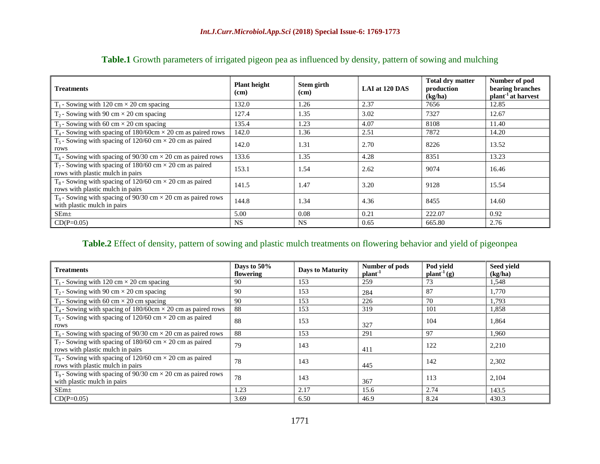| <b>Treatments</b>                                                                                              | <b>Plant height</b><br>(cm) | Stem girth<br>(cm) | LAI at 120 DAS | <b>Total dry matter</b><br>production<br>(kg/ha) | Number of pod<br>bearing branches<br>plant <sup>-1</sup> at harvest |
|----------------------------------------------------------------------------------------------------------------|-----------------------------|--------------------|----------------|--------------------------------------------------|---------------------------------------------------------------------|
| $T_1$ - Sowing with 120 cm $\times$ 20 cm spacing                                                              | 132.0                       | 1.26               | 2.37           | 7656                                             | 12.85                                                               |
| $T_2$ - Sowing with 90 cm $\times$ 20 cm spacing                                                               | 127.4                       | 1.35               | 3.02           | 7327                                             | 12.67                                                               |
| $T_3$ - Sowing with 60 cm $\times$ 20 cm spacing                                                               | 135.4                       | 1.23               | 4.07           | 8108                                             | 11.40                                                               |
| $T_4$ - Sowing with spacing of 180/60cm $\times$ 20 cm as paired rows                                          | 142.0                       | 1.36               | 2.51           | 7872                                             | 14.20                                                               |
| $T_5$ - Sowing with spacing of 120/60 cm $\times$ 20 cm as paired<br>rows                                      | 142.0                       | 1.31               | 2.70           | 8226                                             | 13.52                                                               |
| $T_6$ - Sowing with spacing of 90/30 cm $\times$ 20 cm as paired rows                                          | 133.6                       | 1.35               | 4.28           | 8351                                             | 13.23                                                               |
| T <sub>7</sub> - Sowing with spacing of 180/60 cm $\times$ 20 cm as paired<br>rows with plastic mulch in pairs | 153.1                       | 1.54               | 2.62           | 9074                                             | 16.46                                                               |
| $T_8$ - Sowing with spacing of 120/60 cm $\times$ 20 cm as paired<br>rows with plastic mulch in pairs          | 141.5                       | 1.47               | 3.20           | 9128                                             | 15.54                                                               |
| $T_9$ - Sowing with spacing of 90/30 cm $\times$ 20 cm as paired rows<br>with plastic mulch in pairs           | 144.8                       | 1.34               | 4.36           | 8455                                             | 14.60                                                               |
| SEm <sub>±</sub>                                                                                               | 5.00                        | 0.08               | 0.21           | 222.07                                           | 0.92                                                                |
| $CD(P=0.05)$                                                                                                   | <b>NS</b>                   | <b>NS</b>          | 0.65           | 665.80                                           | 2.76                                                                |

## **Table.1** Growth parameters of irrigated pigeon pea as influenced by density, pattern of sowing and mulching

#### **Table.2** Effect of density, pattern of sowing and plastic mulch treatments on flowering behavior and yield of pigeonpea

| <b>Treatments</b>                                                                                     | Days to 50%<br>flowering | <b>Days to Maturity</b> | Number of pods<br>plant <sup>-1</sup> | Pod yield<br>plant <sup>1</sup> (g) | Seed yield<br>(kg/ha) |
|-------------------------------------------------------------------------------------------------------|--------------------------|-------------------------|---------------------------------------|-------------------------------------|-----------------------|
| $T_1$ - Sowing with 120 cm $\times$ 20 cm spacing                                                     | 90                       | 153                     | 259                                   | 73                                  | 1,548                 |
| $T_2$ - Sowing with 90 cm $\times$ 20 cm spacing                                                      | 90                       | 153                     | 284                                   | 87                                  | 1,770                 |
| $T_3$ - Sowing with 60 cm $\times$ 20 cm spacing                                                      | 90                       | 153                     | 226                                   | 70                                  | 1,793                 |
| $T_4$ - Sowing with spacing of 180/60cm $\times$ 20 cm as paired rows                                 | 88                       | 153                     | 319                                   | 101                                 | 1,858                 |
| $T_5$ - Sowing with spacing of 120/60 cm $\times$ 20 cm as paired<br>rows                             | 88                       | 153                     | 327                                   | 104                                 | 1,864                 |
| $T_6$ - Sowing with spacing of 90/30 cm $\times$ 20 cm as paired rows                                 | 88                       | 153                     | 291                                   | 97                                  | 1,960                 |
| $T_7$ - Sowing with spacing of 180/60 cm $\times$ 20 cm as paired<br>rows with plastic mulch in pairs | 79                       | 143                     | 411                                   | 122                                 | 2,210                 |
| $T_8$ - Sowing with spacing of 120/60 cm $\times$ 20 cm as paired<br>rows with plastic mulch in pairs | 78                       | 143                     | 445                                   | 142                                 | 2,302                 |
| $T_9$ - Sowing with spacing of 90/30 cm $\times$ 20 cm as paired rows<br>with plastic mulch in pairs  | 78                       | 143                     | 367                                   | 113                                 | 2,104                 |
| SEm <sub>±</sub>                                                                                      | 1.23                     | 2.17                    | 15.6                                  | 2.74                                | 143.5                 |
| $CD(P=0.05)$                                                                                          | 3.69                     | 6.50                    | 46.9                                  | 8.24                                | 430.3                 |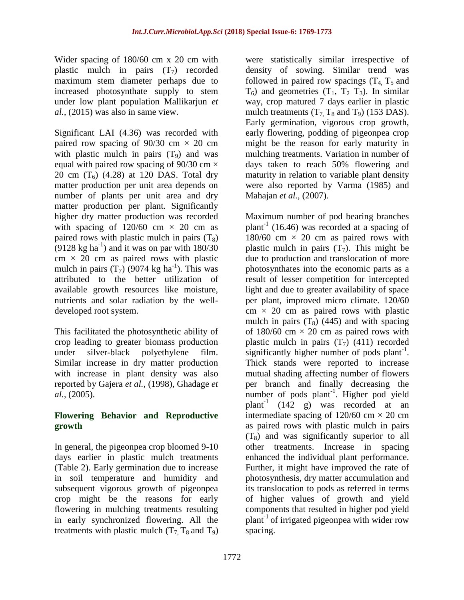Wider spacing of 180/60 cm x 20 cm with plastic mulch in pairs  $(T_7)$  recorded maximum stem diameter perhaps due to increased photosynthate supply to stem under low plant population Mallikarjun *et al.,* (2015) was also in same view.

Significant LAI (4.36) was recorded with paired row spacing of  $90/30$  cm  $\times$  20 cm with plastic mulch in pairs  $(T<sub>9</sub>)$  and was equal with paired row spacing of  $90/30$  cm  $\times$ 20 cm  $(T_6)$  (4.28) at 120 DAS. Total dry matter production per unit area depends on number of plants per unit area and dry matter production per plant. Significantly higher dry matter production was recorded with spacing of  $120/60$  cm  $\times$  20 cm as paired rows with plastic mulch in pairs  $(T_8)$  $(9128 \text{ kg ha}^{-1})$  and it was on par with  $180/30$  $cm \times 20$  cm as paired rows with plastic mulch in pairs  $(T_7)$  (9074 kg ha<sup>-1</sup>). This was attributed to the better utilization of available growth resources like moisture, nutrients and solar radiation by the welldeveloped root system.

This facilitated the photosynthetic ability of crop leading to greater biomass production under silver-black polyethylene film. Similar increase in dry matter production with increase in plant density was also reported by Gajera *et al.,* (1998), Ghadage *et al.,* (2005).

#### **Flowering Behavior and Reproductive growth**

In general, the pigeonpea crop bloomed 9-10 days earlier in plastic mulch treatments (Table 2). Early germination due to increase in soil temperature and humidity and subsequent vigorous growth of pigeonpea crop might be the reasons for early flowering in mulching treatments resulting in early synchronized flowering. All the treatments with plastic mulch  $(T_7, T_8 \text{ and } T_9)$ 

were statistically similar irrespective of density of sowing. Similar trend was followed in paired row spacings  $(T_4, T_5, T_6)$  $T_6$ ) and geometries  $(T_1, T_2, T_3)$ . In similar way, crop matured 7 days earlier in plastic mulch treatments  $(T_7, T_8 \text{ and } T_9)$  (153 DAS). Early germination, vigorous crop growth, early flowering, podding of pigeonpea crop might be the reason for early maturity in mulching treatments. Variation in number of days taken to reach 50% flowering and maturity in relation to variable plant density were also reported by Varma (1985) and Mahajan *et al.,* (2007).

Maximum number of pod bearing branches plant<sup>-1</sup> (16.46) was recorded at a spacing of  $180/60$  cm  $\times$  20 cm as paired rows with plastic mulch in pairs  $(T_7)$ . This might be due to production and translocation of more photosynthates into the economic parts as a result of lesser competition for intercepted light and due to greater availability of space per plant, improved micro climate. 120/60  $cm \times 20$  cm as paired rows with plastic mulch in pairs  $(T_8)$  (445) and with spacing of  $180/60$  cm  $\times$  20 cm as paired rows with plastic mulch in pairs  $(T_7)$  (411) recorded significantly higher number of pods  $plant^{-1}$ . Thick stands were reported to increase mutual shading affecting number of flowers per branch and finally decreasing the number of pods  $plant^{-1}$ . Higher pod yield plant<sup>-1</sup>  $(142 \text{ g})$  was recorded at an intermediate spacing of  $120/60$  cm  $\times$  20 cm as paired rows with plastic mulch in pairs  $(T_8)$  and was significantly superior to all other treatments. Increase in spacing enhanced the individual plant performance. Further, it might have improved the rate of photosynthesis, dry matter accumulation and its translocation to pods as referred in terms of higher values of growth and yield components that resulted in higher pod yield plant-1 of irrigated pigeonpea with wider row spacing.